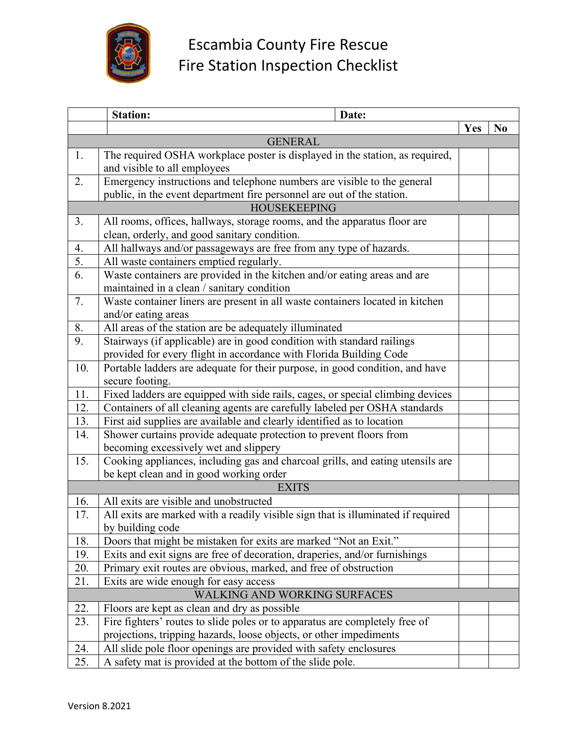

|     | <b>Station:</b><br>Date:                                                                                                                |  |     |                |
|-----|-----------------------------------------------------------------------------------------------------------------------------------------|--|-----|----------------|
|     |                                                                                                                                         |  | Yes | N <sub>0</sub> |
|     | <b>GENERAL</b>                                                                                                                          |  |     |                |
| 1.  | The required OSHA workplace poster is displayed in the station, as required,                                                            |  |     |                |
|     | and visible to all employees                                                                                                            |  |     |                |
| 2.  | Emergency instructions and telephone numbers are visible to the general                                                                 |  |     |                |
|     | public, in the event department fire personnel are out of the station.                                                                  |  |     |                |
|     | <b>HOUSEKEEPING</b>                                                                                                                     |  |     |                |
| 3.  | All rooms, offices, hallways, storage rooms, and the apparatus floor are                                                                |  |     |                |
|     | clean, orderly, and good sanitary condition.                                                                                            |  |     |                |
| 4.  | All hallways and/or passageways are free from any type of hazards.                                                                      |  |     |                |
| 5.  | All waste containers emptied regularly.                                                                                                 |  |     |                |
| 6.  | Waste containers are provided in the kitchen and/or eating areas and are                                                                |  |     |                |
|     | maintained in a clean / sanitary condition                                                                                              |  |     |                |
| 7.  | Waste container liners are present in all waste containers located in kitchen                                                           |  |     |                |
|     | and/or eating areas                                                                                                                     |  |     |                |
| 8.  | All areas of the station are be adequately illuminated                                                                                  |  |     |                |
| 9.  | Stairways (if applicable) are in good condition with standard railings                                                                  |  |     |                |
|     | provided for every flight in accordance with Florida Building Code                                                                      |  |     |                |
| 10. | Portable ladders are adequate for their purpose, in good condition, and have                                                            |  |     |                |
|     | secure footing.                                                                                                                         |  |     |                |
| 11. | Fixed ladders are equipped with side rails, cages, or special climbing devices                                                          |  |     |                |
| 12. | Containers of all cleaning agents are carefully labeled per OSHA standards                                                              |  |     |                |
| 13. | First aid supplies are available and clearly identified as to location                                                                  |  |     |                |
| 14. | Shower curtains provide adequate protection to prevent floors from                                                                      |  |     |                |
|     | becoming excessively wet and slippery                                                                                                   |  |     |                |
| 15. | Cooking appliances, including gas and charcoal grills, and eating utensils are                                                          |  |     |                |
|     | be kept clean and in good working order                                                                                                 |  |     |                |
|     | <b>EXITS</b>                                                                                                                            |  |     |                |
| 16. | All exits are visible and unobstructed                                                                                                  |  |     |                |
| 17. | All exits are marked with a readily visible sign that is illuminated if required                                                        |  |     |                |
|     | by building code                                                                                                                        |  |     |                |
| 18. | Doors that might be mistaken for exits are marked "Not an Exit."                                                                        |  |     |                |
| 19. | Exits and exit signs are free of decoration, draperies, and/or furnishings                                                              |  |     |                |
| 20. | Primary exit routes are obvious, marked, and free of obstruction                                                                        |  |     |                |
| 21. | Exits are wide enough for easy access                                                                                                   |  |     |                |
|     | WALKING AND WORKING SURFACES                                                                                                            |  |     |                |
| 22. | Floors are kept as clean and dry as possible                                                                                            |  |     |                |
| 23. | Fire fighters' routes to slide poles or to apparatus are completely free of                                                             |  |     |                |
| 24. | projections, tripping hazards, loose objects, or other impediments<br>All slide pole floor openings are provided with safety enclosures |  |     |                |
| 25. | A safety mat is provided at the bottom of the slide pole.                                                                               |  |     |                |
|     |                                                                                                                                         |  |     |                |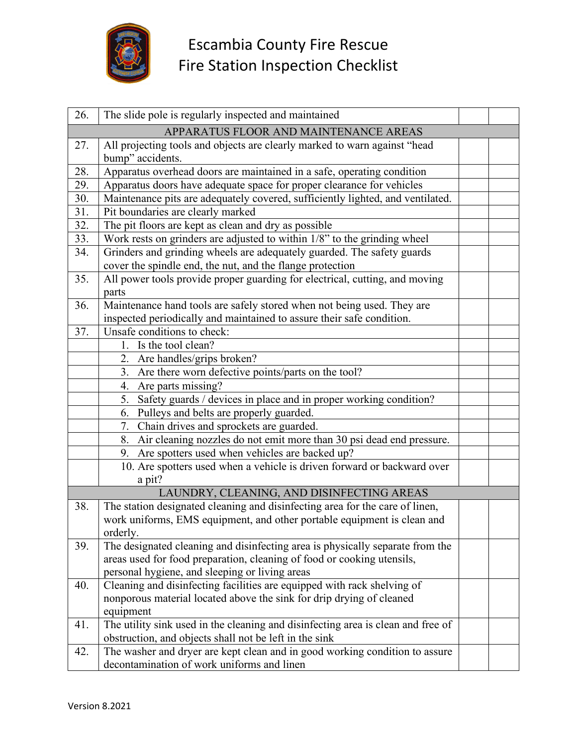

| 26.                                   | The slide pole is regularly inspected and maintained                                          |  |  |
|---------------------------------------|-----------------------------------------------------------------------------------------------|--|--|
| APPARATUS FLOOR AND MAINTENANCE AREAS |                                                                                               |  |  |
| 27.                                   | All projecting tools and objects are clearly marked to warn against "head<br>bump" accidents. |  |  |
| 28.                                   | Apparatus overhead doors are maintained in a safe, operating condition                        |  |  |
| 29.                                   | Apparatus doors have adequate space for proper clearance for vehicles                         |  |  |
| 30.                                   | Maintenance pits are adequately covered, sufficiently lighted, and ventilated.                |  |  |
| 31.                                   | Pit boundaries are clearly marked                                                             |  |  |
| 32.                                   | The pit floors are kept as clean and dry as possible                                          |  |  |
| 33.                                   | Work rests on grinders are adjusted to within 1/8" to the grinding wheel                      |  |  |
| 34.                                   | Grinders and grinding wheels are adequately guarded. The safety guards                        |  |  |
|                                       | cover the spindle end, the nut, and the flange protection                                     |  |  |
| 35.                                   | All power tools provide proper guarding for electrical, cutting, and moving                   |  |  |
|                                       | parts                                                                                         |  |  |
| 36.                                   | Maintenance hand tools are safely stored when not being used. They are                        |  |  |
|                                       | inspected periodically and maintained to assure their safe condition.                         |  |  |
| 37.                                   | Unsafe conditions to check:                                                                   |  |  |
|                                       | 1. Is the tool clean?                                                                         |  |  |
|                                       | 2. Are handles/grips broken?                                                                  |  |  |
|                                       | 3. Are there worn defective points/parts on the tool?                                         |  |  |
|                                       | 4. Are parts missing?                                                                         |  |  |
|                                       | 5. Safety guards / devices in place and in proper working condition?                          |  |  |
|                                       | 6. Pulleys and belts are properly guarded.                                                    |  |  |
|                                       | 7. Chain drives and sprockets are guarded.                                                    |  |  |
|                                       | 8. Air cleaning nozzles do not emit more than 30 psi dead end pressure.                       |  |  |
|                                       | 9. Are spotters used when vehicles are backed up?                                             |  |  |
|                                       | 10. Are spotters used when a vehicle is driven forward or backward over                       |  |  |
|                                       | a pit?                                                                                        |  |  |
|                                       | LAUNDRY, CLEANING, AND DISINFECTING AREAS                                                     |  |  |
| 38.                                   | The station designated cleaning and disinfecting area for the care of linen,                  |  |  |
|                                       | work uniforms, EMS equipment, and other portable equipment is clean and                       |  |  |
|                                       | orderly.                                                                                      |  |  |
| 39.                                   | The designated cleaning and disinfecting area is physically separate from the                 |  |  |
|                                       | areas used for food preparation, cleaning of food or cooking utensils,                        |  |  |
|                                       | personal hygiene, and sleeping or living areas                                                |  |  |
| 40.                                   | Cleaning and disinfecting facilities are equipped with rack shelving of                       |  |  |
|                                       | nonporous material located above the sink for drip drying of cleaned                          |  |  |
|                                       | equipment                                                                                     |  |  |
| 41.                                   | The utility sink used in the cleaning and disinfecting area is clean and free of              |  |  |
|                                       | obstruction, and objects shall not be left in the sink                                        |  |  |
| 42.                                   | The washer and dryer are kept clean and in good working condition to assure                   |  |  |
|                                       | decontamination of work uniforms and linen                                                    |  |  |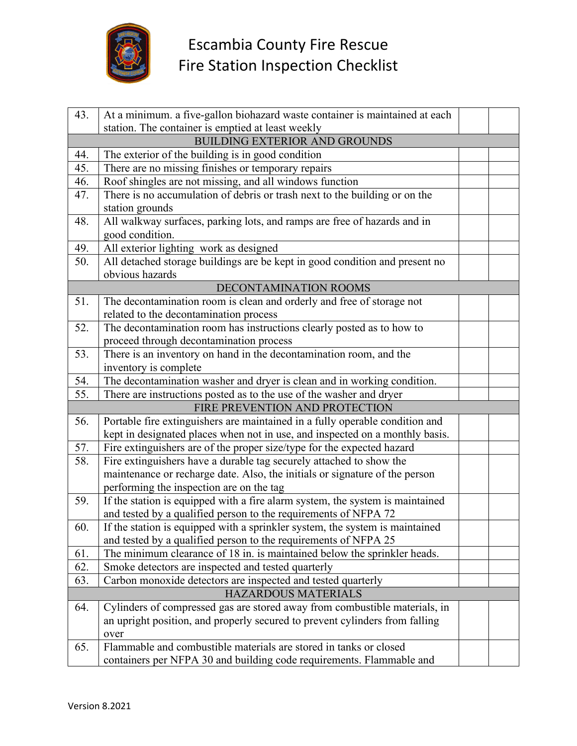

| 43. | At a minimum. a five-gallon biohazard waste container is maintained at each   |  |  |
|-----|-------------------------------------------------------------------------------|--|--|
|     | station. The container is emptied at least weekly                             |  |  |
|     | <b>BUILDING EXTERIOR AND GROUNDS</b>                                          |  |  |
| 44. | The exterior of the building is in good condition                             |  |  |
| 45. | There are no missing finishes or temporary repairs                            |  |  |
| 46. | Roof shingles are not missing, and all windows function                       |  |  |
| 47. | There is no accumulation of debris or trash next to the building or on the    |  |  |
|     | station grounds                                                               |  |  |
| 48. | All walkway surfaces, parking lots, and ramps are free of hazards and in      |  |  |
|     | good condition.                                                               |  |  |
| 49. | All exterior lighting work as designed                                        |  |  |
| 50. | All detached storage buildings are be kept in good condition and present no   |  |  |
|     | obvious hazards                                                               |  |  |
|     | DECONTAMINATION ROOMS                                                         |  |  |
| 51. | The decontamination room is clean and orderly and free of storage not         |  |  |
|     | related to the decontamination process                                        |  |  |
| 52. | The decontamination room has instructions clearly posted as to how to         |  |  |
|     | proceed through decontamination process                                       |  |  |
| 53. | There is an inventory on hand in the decontamination room, and the            |  |  |
|     | inventory is complete                                                         |  |  |
| 54. | The decontamination washer and dryer is clean and in working condition.       |  |  |
| 55. | There are instructions posted as to the use of the washer and dryer           |  |  |
|     | FIRE PREVENTION AND PROTECTION                                                |  |  |
| 56. | Portable fire extinguishers are maintained in a fully operable condition and  |  |  |
|     | kept in designated places when not in use, and inspected on a monthly basis.  |  |  |
| 57. | Fire extinguishers are of the proper size/type for the expected hazard        |  |  |
| 58. | Fire extinguishers have a durable tag securely attached to show the           |  |  |
|     | maintenance or recharge date. Also, the initials or signature of the person   |  |  |
|     | performing the inspection are on the tag                                      |  |  |
| 59. | If the station is equipped with a fire alarm system, the system is maintained |  |  |
|     | and tested by a qualified person to the requirements of NFPA 72               |  |  |
| 60. | If the station is equipped with a sprinkler system, the system is maintained  |  |  |
|     | and tested by a qualified person to the requirements of NFPA 25               |  |  |
| 61. | The minimum clearance of 18 in. is maintained below the sprinkler heads.      |  |  |
| 62. | Smoke detectors are inspected and tested quarterly                            |  |  |
| 63. | Carbon monoxide detectors are inspected and tested quarterly                  |  |  |
|     | <b>HAZARDOUS MATERIALS</b>                                                    |  |  |
| 64. | Cylinders of compressed gas are stored away from combustible materials, in    |  |  |
|     | an upright position, and properly secured to prevent cylinders from falling   |  |  |
|     | over                                                                          |  |  |
| 65. | Flammable and combustible materials are stored in tanks or closed             |  |  |
|     | containers per NFPA 30 and building code requirements. Flammable and          |  |  |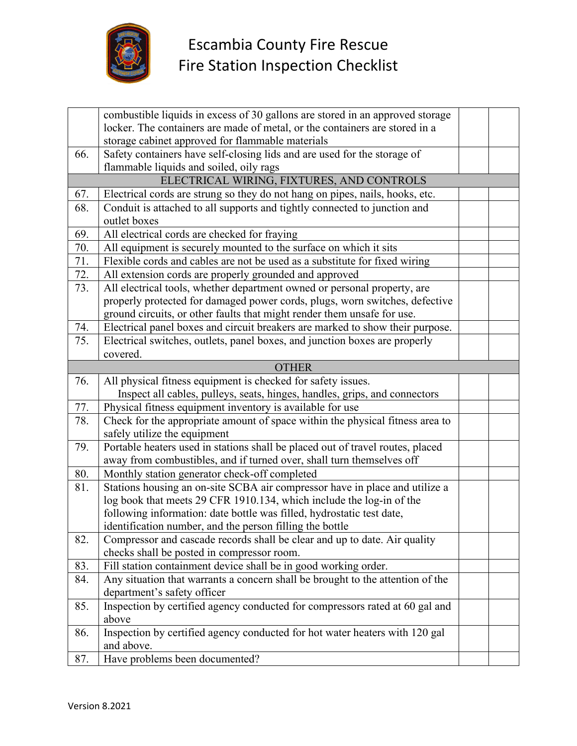

|              | combustible liquids in excess of 30 gallons are stored in an approved storage  |  |  |
|--------------|--------------------------------------------------------------------------------|--|--|
|              | locker. The containers are made of metal, or the containers are stored in a    |  |  |
|              | storage cabinet approved for flammable materials                               |  |  |
| 66.          | Safety containers have self-closing lids and are used for the storage of       |  |  |
|              | flammable liquids and soiled, oily rags                                        |  |  |
|              | ELECTRICAL WIRING, FIXTURES, AND CONTROLS                                      |  |  |
| 67.          | Electrical cords are strung so they do not hang on pipes, nails, hooks, etc.   |  |  |
| 68.          | Conduit is attached to all supports and tightly connected to junction and      |  |  |
|              | outlet boxes                                                                   |  |  |
| 69.          | All electrical cords are checked for fraying                                   |  |  |
| 70.          | All equipment is securely mounted to the surface on which it sits              |  |  |
| 71.          | Flexible cords and cables are not be used as a substitute for fixed wiring     |  |  |
| 72.          | All extension cords are properly grounded and approved                         |  |  |
| 73.          | All electrical tools, whether department owned or personal property, are       |  |  |
|              | properly protected for damaged power cords, plugs, worn switches, defective    |  |  |
|              | ground circuits, or other faults that might render them unsafe for use.        |  |  |
| 74.          | Electrical panel boxes and circuit breakers are marked to show their purpose.  |  |  |
| 75.          | Electrical switches, outlets, panel boxes, and junction boxes are properly     |  |  |
|              | covered.                                                                       |  |  |
| <b>OTHER</b> |                                                                                |  |  |
| 76.          | All physical fitness equipment is checked for safety issues.                   |  |  |
|              | Inspect all cables, pulleys, seats, hinges, handles, grips, and connectors     |  |  |
| 77.          | Physical fitness equipment inventory is available for use                      |  |  |
| 78.          | Check for the appropriate amount of space within the physical fitness area to  |  |  |
|              | safely utilize the equipment                                                   |  |  |
| 79.          | Portable heaters used in stations shall be placed out of travel routes, placed |  |  |
|              | away from combustibles, and if turned over, shall turn themselves off          |  |  |
| 80.          | Monthly station generator check-off completed                                  |  |  |
| 81.          | Stations housing an on-site SCBA air compressor have in place and utilize a    |  |  |
|              | log book that meets 29 CFR 1910.134, which include the log-in of the           |  |  |
|              | following information: date bottle was filled, hydrostatic test date,          |  |  |
|              | identification number, and the person filling the bottle                       |  |  |
| 82.          | Compressor and cascade records shall be clear and up to date. Air quality      |  |  |
|              | checks shall be posted in compressor room.                                     |  |  |
| 83.          | Fill station containment device shall be in good working order.                |  |  |
| 84.          | Any situation that warrants a concern shall be brought to the attention of the |  |  |
|              | department's safety officer                                                    |  |  |
| 85.          | Inspection by certified agency conducted for compressors rated at 60 gal and   |  |  |
|              | above                                                                          |  |  |
| 86.          | Inspection by certified agency conducted for hot water heaters with 120 gal    |  |  |
|              | and above.                                                                     |  |  |
| 87.          | Have problems been documented?                                                 |  |  |